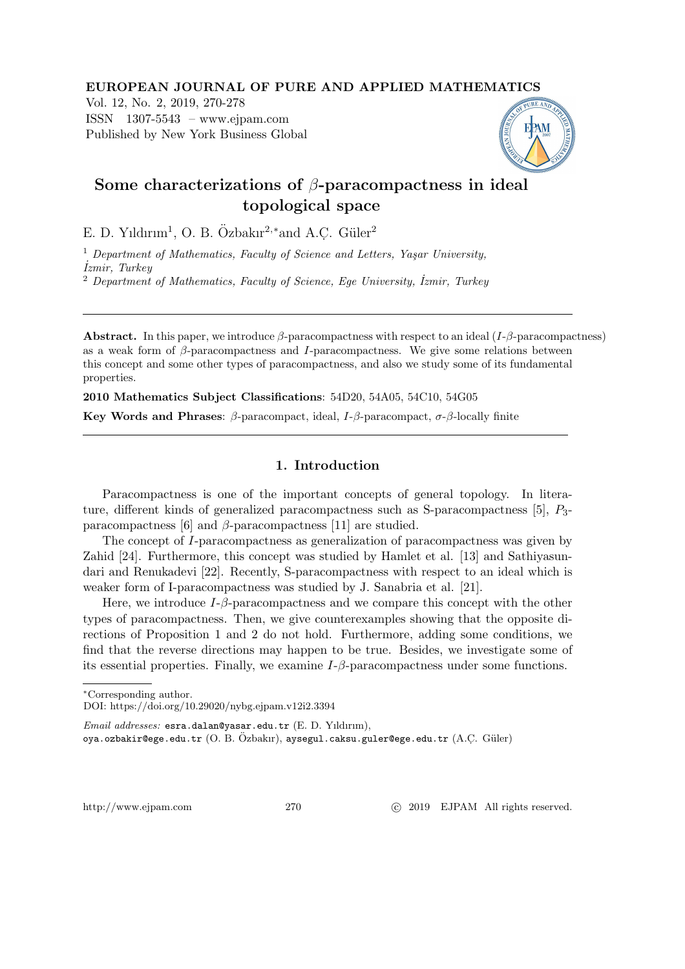### EUROPEAN JOURNAL OF PURE AND APPLIED MATHEMATICS

Vol. 12, No. 2, 2019, 270-278 ISSN 1307-5543 – www.ejpam.com Published by New York Business Global



# Some characterizations of  $\beta$ -paracompactness in ideal topological space

E. D. Yıldırım<sup>1</sup>, O. B. Özbakır<sup>2,∗</sup>and A.C. Güler<sup>2</sup>

 $1$  Department of Mathematics, Faculty of Science and Letters, Yaşar University, ˙Izmir, Turkey

<sup>2</sup> Department of Mathematics, Faculty of Science, Ege University, İzmir, Turkey

**Abstract.** In this paper, we introduce  $\beta$ -paracompactness with respect to an ideal (I- $\beta$ -paracompactness) as a weak form of  $\beta$ -paracompactness and I-paracompactness. We give some relations between this concept and some other types of paracompactness, and also we study some of its fundamental properties.

2010 Mathematics Subject Classifications: 54D20, 54A05, 54C10, 54G05

**Key Words and Phrases:** β-paracompact, ideal,  $I$ -β-paracompact,  $\sigma$ -β-locally finite

# 1. Introduction

Paracompactness is one of the important concepts of general topology. In literature, different kinds of generalized paracompactness such as S-paracompactness  $[5]$ ,  $P_3$ paracompactness [6] and  $\beta$ -paracompactness [11] are studied.

The concept of I-paracompactness as generalization of paracompactness was given by Zahid [24]. Furthermore, this concept was studied by Hamlet et al. [13] and Sathiyasundari and Renukadevi [22]. Recently, S-paracompactness with respect to an ideal which is weaker form of I-paracompactness was studied by J. Sanabria et al. [21].

Here, we introduce  $I-\beta$ -paracompactness and we compare this concept with the other types of paracompactness. Then, we give counterexamples showing that the opposite directions of Proposition 1 and 2 do not hold. Furthermore, adding some conditions, we find that the reverse directions may happen to be true. Besides, we investigate some of its essential properties. Finally, we examine  $I-\beta$ -paracompactness under some functions.

http://www.ejpam.com 270 c 2019 EJPAM All rights reserved.

<sup>∗</sup>Corresponding author.

DOI: https://doi.org/10.29020/nybg.ejpam.v12i2.3394

Email addresses: esra.dalan@yasar.edu.tr (E. D. Yıldırım),

oya.ozbakir@ege.edu.tr  $(\mathrm{O.~B.~\ddot{O}zbakır}),$  aysegul.caksu.guler@ege.edu.tr  $(\mathrm{A. C.~Güler})$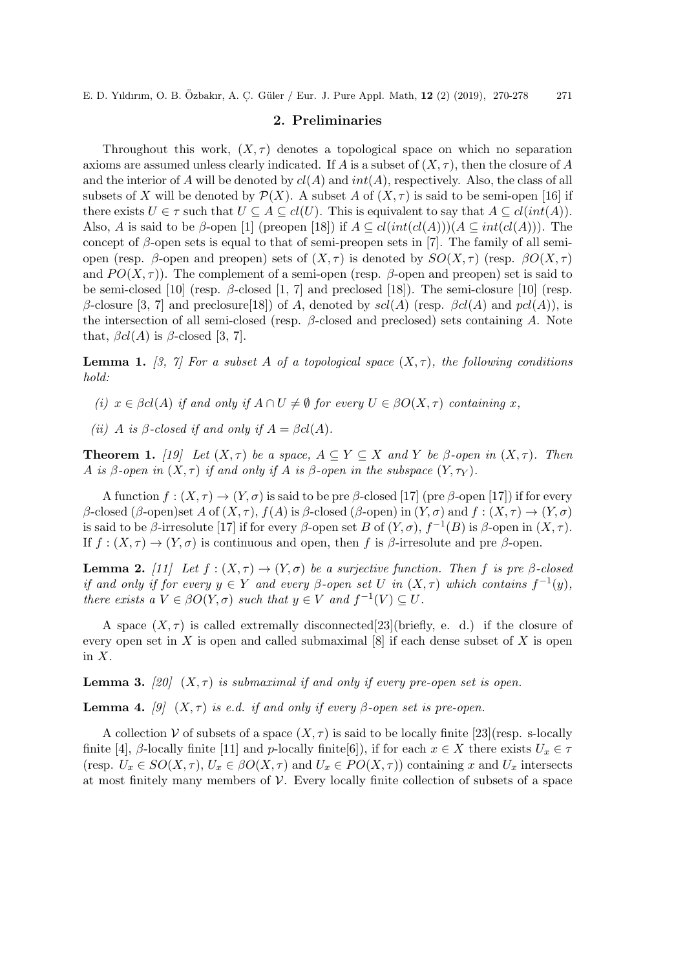E. D. Yıldırım, O. B. Özbakır, A. Ç. Güler / Eur. J. Pure Appl. Math, 12 (2) (2019), 270-278 271

# 2. Preliminaries

Throughout this work,  $(X, \tau)$  denotes a topological space on which no separation axioms are assumed unless clearly indicated. If A is a subset of  $(X, \tau)$ , then the closure of A and the interior of A will be denoted by  $cl(A)$  and  $int(A)$ , respectively. Also, the class of all subsets of X will be denoted by  $\mathcal{P}(X)$ . A subset A of  $(X, \tau)$  is said to be semi-open [16] if there exists  $U \in \tau$  such that  $U \subseteq A \subseteq cl(U)$ . This is equivalent to say that  $A \subseteq cl(int(A))$ . Also, A is said to be  $\beta$ -open [1] (preopen [18]) if  $A \subseteq cl(int(cl(A)))(A \subseteq int(cl(A)))$ . The concept of β-open sets is equal to that of semi-preopen sets in [7]. The family of all semiopen (resp. β-open and preopen) sets of  $(X, \tau)$  is denoted by  $SO(X, \tau)$  (resp.  $\beta O(X, \tau)$ ) and  $PO(X, \tau)$ . The complement of a semi-open (resp.  $\beta$ -open and preopen) set is said to be semi-closed [10] (resp.  $\beta$ -closed [1, 7] and preclosed [18]). The semi-closure [10] (resp. β-closure [3, 7] and preclosure [18]) of A, denoted by  $\mathfrak{sol}(A)$  (resp.  $\beta \mathfrak{cl}(A)$  and  $\mathfrak{pol}(A)$ ), is the intersection of all semi-closed (resp.  $\beta$ -closed and preclosed) sets containing A. Note that,  $\beta cl(A)$  is  $\beta$ -closed [3, 7].

**Lemma 1.** [3, 7] For a subset A of a topological space  $(X, \tau)$ , the following conditions hold:

(i)  $x \in \beta cl(A)$  if and only if  $A \cap U \neq \emptyset$  for every  $U \in \beta O(X, \tau)$  containing x,

(ii) A is  $\beta$ -closed if and only if  $A = \beta cl(A)$ .

**Theorem 1.** [19] Let  $(X, \tau)$  be a space,  $A \subseteq Y \subseteq X$  and Y be  $\beta$ -open in  $(X, \tau)$ . Then A is β-open in  $(X, \tau)$  if and only if A is β-open in the subspace  $(Y, \tau_Y)$ .

A function  $f:(X,\tau) \to (Y,\sigma)$  is said to be pre  $\beta$ -closed [17] (pre  $\beta$ -open [17]) if for every β-closed (β-open)set A of  $(X, \tau)$ ,  $f(A)$  is β-closed (β-open) in  $(Y, \sigma)$  and  $f : (X, \tau) \to (Y, \sigma)$ is said to be  $\beta$ -irresolute [17] if for every  $\beta$ -open set B of  $(Y, \sigma)$ ,  $f^{-1}(B)$  is  $\beta$ -open in  $(X, \tau)$ . If  $f : (X, \tau) \to (Y, \sigma)$  is continuous and open, then f is β-irresolute and pre β-open.

**Lemma 2.** [11] Let  $f : (X, \tau) \to (Y, \sigma)$  be a surjective function. Then f is pre  $\beta$ -closed if and only if for every  $y \in Y$  and every  $\beta$ -open set U in  $(X, \tau)$  which contains  $f^{-1}(y)$ , there exists a  $V \in \beta O(Y, \sigma)$  such that  $y \in V$  and  $f^{-1}(V) \subseteq U$ .

A space  $(X, \tau)$  is called extremally disconnected [23](briefly, e. d.) if the closure of every open set in X is open and called submaximal  $[8]$  if each dense subset of X is open in  $X$ .

**Lemma 3.** [20]  $(X, \tau)$  is submaximal if and only if every pre-open set is open.

**Lemma 4.** [9]  $(X, \tau)$  is e.d. if and only if every β-open set is pre-open.

A collection V of subsets of a space  $(X, \tau)$  is said to be locally finite [23](resp. s-locally finite [4], β-locally finite [11] and p-locally finite [6]), if for each  $x \in X$  there exists  $U_x \in \tau$ (resp.  $U_x \in SO(X, \tau)$ ,  $U_x \in \beta O(X, \tau)$  and  $U_x \in PO(X, \tau)$ ) containing x and  $U_x$  intersects at most finitely many members of  $V$ . Every locally finite collection of subsets of a space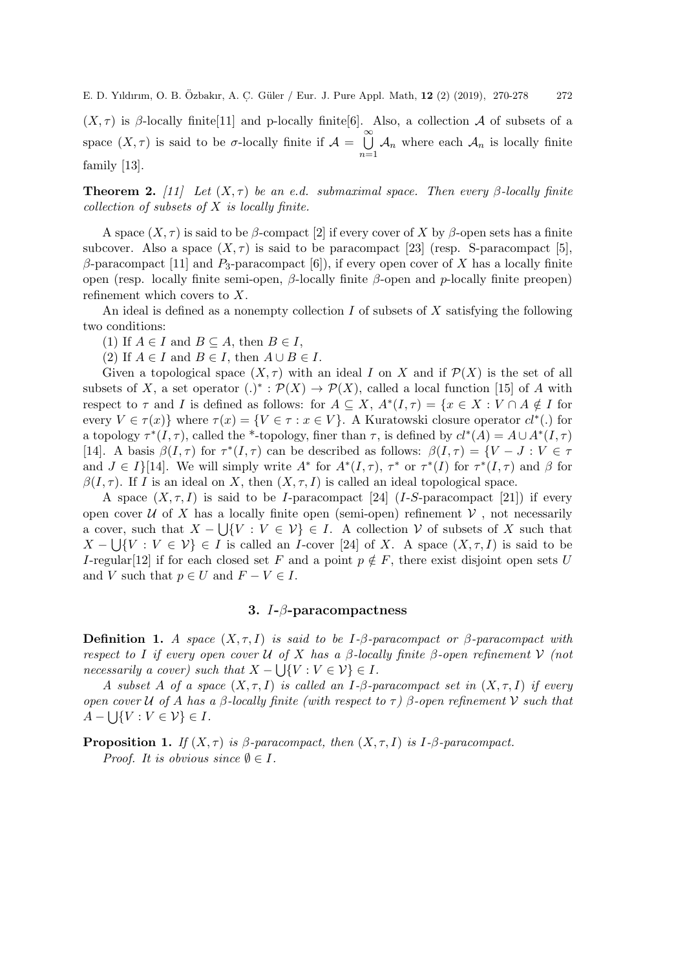$(X, \tau)$  is β-locally finite[11] and p-locally finite[6]. Also, a collection A of subsets of a space  $(X, \tau)$  is said to be  $\sigma$ -locally finite if  $\mathcal{A} = \bigcup_{k=1}^{\infty}$  $n=1$  $A_n$  where each  $A_n$  is locally finite family [13].

**Theorem 2.** [11] Let  $(X, \tau)$  be an e.d. submaximal space. Then every β-locally finite collection of subsets of  $X$  is locally finite.

A space  $(X, \tau)$  is said to be  $\beta$ -compact [2] if every cover of X by  $\beta$ -open sets has a finite subcover. Also a space  $(X, \tau)$  is said to be paracompact [23] (resp. S-paracompact [5], β-paracompact [11] and  $P_3$ -paracompact [6]), if every open cover of X has a locally finite open (resp. locally finite semi-open, β-locally finite β-open and p-locally finite preopen) refinement which covers to X.

An ideal is defined as a nonempty collection  $I$  of subsets of  $X$  satisfying the following two conditions:

(1) If  $A \in I$  and  $B \subseteq A$ , then  $B \in I$ ,

(2) If  $A \in I$  and  $B \in I$ , then  $A \cup B \in I$ .

Given a topological space  $(X, \tau)$  with an ideal I on X and if  $\mathcal{P}(X)$  is the set of all subsets of X, a set operator  $(.)^* : \mathcal{P}(X) \to \mathcal{P}(X)$ , called a local function [15] of A with respect to  $\tau$  and I is defined as follows: for  $A \subseteq X$ ,  $A^*(I,\tau) = \{x \in X : V \cap A \notin I \text{ for } I \in I\}$ every  $V \in \tau(x)$  where  $\tau(x) = \{ V \in \tau : x \in V \}$ . A Kuratowski closure operator  $cl^*(.)$  for a topology  $\tau^*(I, \tau)$ , called the \*-topology, finer than  $\tau$ , is defined by  $cl^*(A) = A \cup A^*(I, \tau)$ [14]. A basis  $\beta(I,\tau)$  for  $\tau^*(I,\tau)$  can be described as follows:  $\beta(I,\tau) = \{V - J : V \in \tau\}$ and  $J \in I$ [14]. We will simply write  $A^*$  for  $A^*(I,\tau)$ ,  $\tau^*$  or  $\tau^*(I)$  for  $\tau^*(I,\tau)$  and  $\beta$  for  $\beta(I, \tau)$ . If I is an ideal on X, then  $(X, \tau, I)$  is called an ideal topological space.

A space  $(X, \tau, I)$  is said to be *I*-paracompact [24] (*I-S*-paracompact [21]) if every open cover U of X has a locally finite open (semi-open) refinement  $V$ , not necessarily a cover, such that  $X - \bigcup \{V : V \in V\} \in I$ . A collection V of subsets of X such that  $X - \bigcup \{V : V \in V\} \in I$  is called an *I*-cover [24] of X. A space  $(X, \tau, I)$  is said to be I-regular<sup>[12]</sup> if for each closed set F and a point  $p \notin F$ , there exist disjoint open sets U and V such that  $p \in U$  and  $F - V \in I$ .

# 3. I-β-paracompactness

**Definition 1.** A space  $(X, \tau, I)$  is said to be I-β-paracompact or β-paracompact with respect to I if every open cover U of X has a  $\beta$ -locally finite  $\beta$ -open refinement V (not  $necessarily a cover) such that X - \bigcup \{V : V \in V\} \in I.$ 

A subset A of a space  $(X, \tau, I)$  is called an I- $\beta$ -paracompact set in  $(X, \tau, I)$  if every open cover U of A has a β-locally finite (with respect to  $\tau$ ) β-open refinement V such that  $A - \bigcup \{V : V \in \mathcal{V}\} \in I.$ 

**Proposition 1.** If  $(X, \tau)$  is  $\beta$ -paracompact, then  $(X, \tau, I)$  is I- $\beta$ -paracompact. *Proof.* It is obvious since  $\emptyset \in I$ .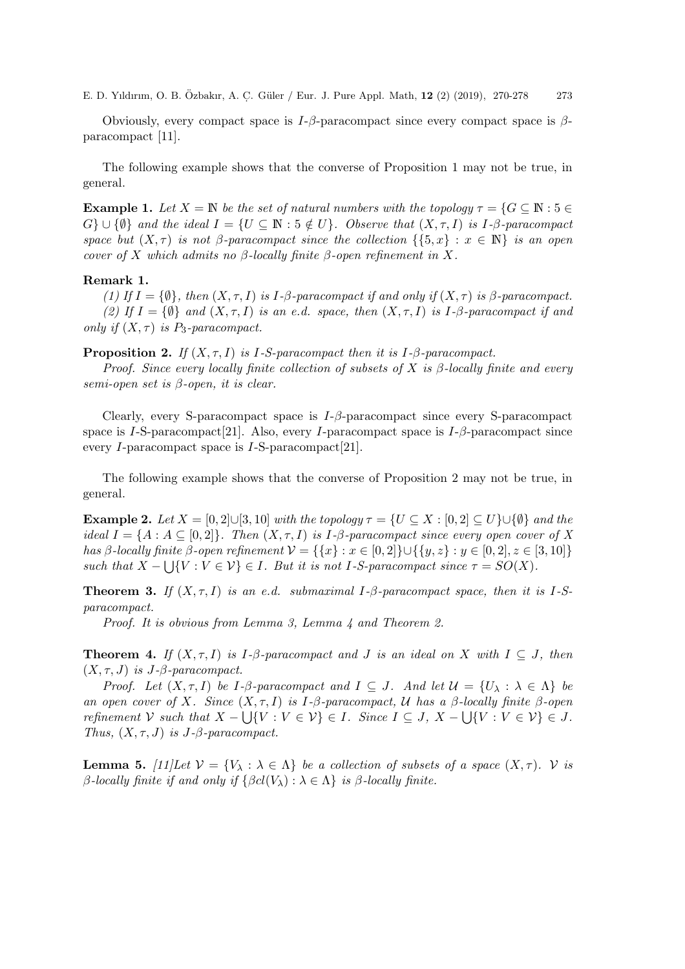E. D. Yıldırım, O. B. Özbakır, A. Ç. Güler / Eur. J. Pure Appl. Math, 12 (2) (2019), 270-278 273

Obviously, every compact space is  $I-\beta$ -paracompact since every compact space is  $\beta$ paracompact [11].

The following example shows that the converse of Proposition 1 may not be true, in general.

**Example 1.** Let  $X = \mathbb{N}$  be the set of natural numbers with the topology  $\tau = \{G \subseteq \mathbb{N} : 5 \in$  $G\} \cup \{\emptyset\}$  and the ideal  $I = \{U \subseteq \mathbb{N} : 5 \notin U\}$ . Observe that  $(X, \tau, I)$  is I- $\beta$ -paracompact space but  $(X, \tau)$  is not β-paracompact since the collection  $\{\{5, x\} : x \in \mathbb{N}\}\$ is an open cover of X which admits no  $\beta$ -locally finite  $\beta$ -open refinement in X.

#### Remark 1.

(1) If  $I = \{\emptyset\}$ , then  $(X, \tau, I)$  is I- $\beta$ -paracompact if and only if  $(X, \tau)$  is  $\beta$ -paracompact. (2) If  $I = \{\emptyset\}$  and  $(X, \tau, I)$  is an e.d. space, then  $(X, \tau, I)$  is I- $\beta$ -paracompact if and only if  $(X, \tau)$  is P<sub>3</sub>-paracompact.

**Proposition 2.** If  $(X, \tau, I)$  is I-S-paracompact then it is I- $\beta$ -paracompact.

Proof. Since every locally finite collection of subsets of X is  $\beta$ -locally finite and every semi-open set is  $\beta$ -open, it is clear.

Clearly, every S-paracompact space is  $I-\beta$ -paracompact since every S-paracompact space is I-S-paracompact[21]. Also, every I-paracompact space is  $I-\beta$ -paracompact since every I-paracompact space is I-S-paracompact[21].

The following example shows that the converse of Proposition 2 may not be true, in general.

**Example 2.** Let  $X = [0, 2] \cup [3, 10]$  with the topology  $\tau = \{U \subseteq X : [0, 2] \subseteq U\} \cup \{\emptyset\}$  and the ideal  $I = \{A : A \subseteq [0,2]\}\$ . Then  $(X, \tau, I)$  is I- $\beta$ -paracompact since every open cover of X has β-locally finite β-open refinement  $V = \{ \{x\} : x \in [0,2] \} \cup \{ \{y,z\} : y \in [0,2], z \in [3,10] \}$ such that  $X - \bigcup \{V : V \in \mathcal{V}\} \in I$ . But it is not I-S-paracompact since  $\tau = SO(X)$ .

**Theorem 3.** If  $(X, \tau, I)$  is an e.d. submaximal I- $\beta$ -paracompact space, then it is I-Sparacompact.

Proof. It is obvious from Lemma 3, Lemma 4 and Theorem 2.

**Theorem 4.** If  $(X, \tau, I)$  is I- $\beta$ -paracompact and J is an ideal on X with  $I \subset J$ , then  $(X, \tau, J)$  is J- $\beta$ -paracompact.

Proof. Let  $(X, \tau, I)$  be I- $\beta$ -paracompact and  $I \subseteq J$ . And let  $\mathcal{U} = \{U_\lambda : \lambda \in \Lambda\}$  be an open cover of X. Since  $(X, \tau, I)$  is I-β-paracompact, U has a β-locally finite β-open refinement V such that  $X - \bigcup \{V : V \in V\} \in I$ . Since  $I \subseteq J$ ,  $X - \bigcup \{V : V \in V\} \in J$ . Thus,  $(X, \tau, J)$  is J- $\beta$ -paracompact.

**Lemma 5.** [11]Let  $\mathcal{V} = \{V_\lambda : \lambda \in \Lambda\}$  be a collection of subsets of a space  $(X, \tau)$ .  $\mathcal{V}$  is β-locally finite if and only if  $\{\beta cl(V_\lambda) : \lambda \in \Lambda\}$  is β-locally finite.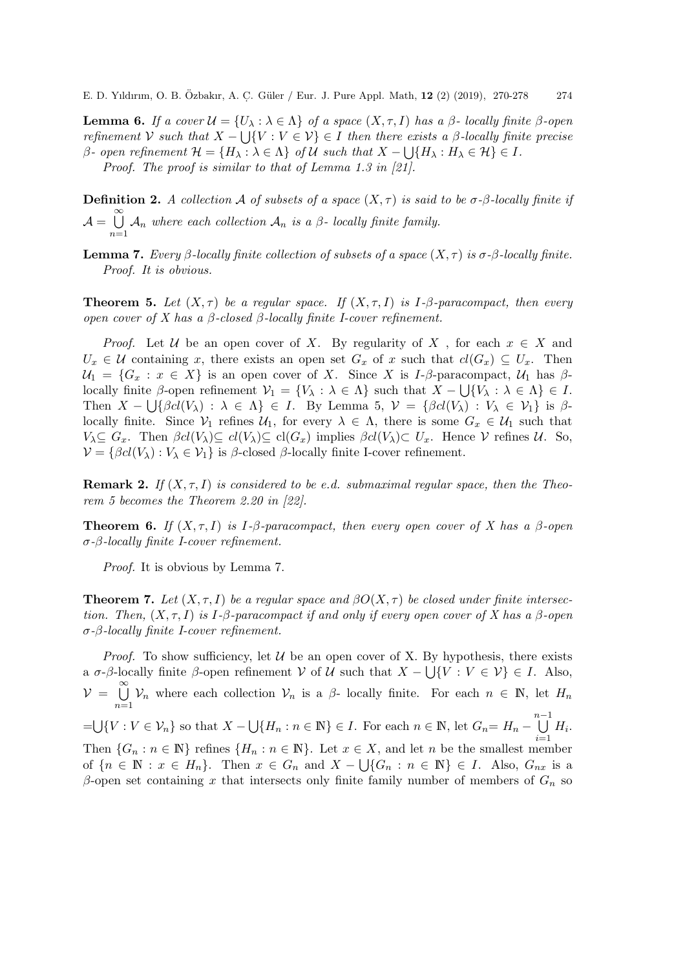**Lemma 6.** If a cover  $\mathcal{U} = \{U_\lambda : \lambda \in \Lambda\}$  of a space  $(X, \tau, I)$  has a  $\beta$ - locally finite  $\beta$ -open refinement V such that  $X - \bigcup \{V : V \in V\} \in I$  then there exists a  $\beta$ -locally finite precise  $\beta$ - open refinement  $\mathcal{H} = \{H_\lambda : \lambda \in \Lambda\}$  of  $\mathcal U$  such that  $X - \bigcup \{H_\lambda : H_\lambda \in \mathcal{H}\} \in I$ .

Proof. The proof is similar to that of Lemma 1.3 in [21].

**Definition 2.** A collection A of subsets of a space  $(X, \tau)$  is said to be  $\sigma$ - $\beta$ -locally finite if  $A = \bigcup^{\infty}$  $n=1$  $\mathcal{A}_n$  where each collection  $\mathcal{A}_n$  is a  $\beta$ - locally finite family.

**Lemma 7.** Every β-locally finite collection of subsets of a space  $(X, \tau)$  is  $\sigma$ -β-locally finite. Proof. It is obvious.

**Theorem 5.** Let  $(X, \tau)$  be a regular space. If  $(X, \tau, I)$  is I- $\beta$ -paracompact, then every open cover of X has a β-closed β-locally finite I-cover refinement.

*Proof.* Let U be an open cover of X. By regularity of X, for each  $x \in X$  and  $U_x \in \mathcal{U}$  containing x, there exists an open set  $G_x$  of x such that  $cl(G_x) \subseteq U_x$ . Then  $U_1 = \{G_x : x \in X\}$  is an open cover of X. Since X is I- $\beta$ -paracompact,  $U_1$  has  $\beta$ locally finite  $\beta$ -open refinement  $V_1 = \{V_\lambda : \lambda \in \Lambda\}$  such that  $X - \bigcup \{V_\lambda : \lambda \in \Lambda\} \in I$ . Then  $X - \bigcup \{\beta cl(V_\lambda) : \lambda \in \Lambda\} \in I$ . By Lemma 5,  $\mathcal{V} = \{\beta cl(V_\lambda) : V_\lambda \in \mathcal{V}_1\}$  is  $\beta$ locally finite. Since  $V_1$  refines  $U_1$ , for every  $\lambda \in \Lambda$ , there is some  $G_x \in U_1$  such that  $V_{\lambda} \subseteq G_x$ . Then  $\beta cl(V_{\lambda}) \subseteq cl(V_{\lambda}) \subseteq cl(G_x)$  implies  $\beta cl(V_{\lambda}) \subset U_x$ . Hence V refines U. So,  $\mathcal{V} = \{\beta cl(V_\lambda) : V_\lambda \in \mathcal{V}_1\}$  is  $\beta$ -closed  $\beta$ -locally finite I-cover refinement.

**Remark 2.** If  $(X, \tau, I)$  is considered to be e.d. submaximal regular space, then the Theorem 5 becomes the Theorem 2.20 in [22].

**Theorem 6.** If  $(X, \tau, I)$  is I- $\beta$ -paracompact, then every open cover of X has a  $\beta$ -open σ-β-locally finite I-cover refinement.

Proof. It is obvious by Lemma 7.

**Theorem 7.** Let  $(X, \tau, I)$  be a regular space and  $\beta O(X, \tau)$  be closed under finite intersection. Then,  $(X, \tau, I)$  is I- $\beta$ -paracompact if and only if every open cover of X has a  $\beta$ -open σ-β-locally finite I-cover refinement.

*Proof.* To show sufficiency, let  $U$  be an open cover of X. By hypothesis, there exists a  $\sigma$ -β-locally finite β-open refinement V of U such that  $X - \bigcup \{V : V \in V\} \in I$ . Also,  $\nu = \bigcup_{i=1}^{\infty}$  $n=1$  $\mathcal{V}_n$  where each collection  $\mathcal{V}_n$  is a  $\beta$ - locally finite. For each  $n \in \mathbb{N}$ , let  $H_n$ = $\bigcup \{V : V \in \mathcal{V}_n\}$  so that  $X - \bigcup \{H_n : n \in \mathbb{N}\}\in I$ . For each  $n \in \mathbb{N}$ , let  $G_n = H_n - \bigcup_{n=1}^{n-1}$  $\frac{i=1}{i}$  $H_i$ . Then  $\{G_n : n \in \mathbb{N}\}\$  refines  $\{H_n : n \in \mathbb{N}\}\$ . Let  $x \in X$ , and let n be the smallest member of  ${n \in \mathbb{N} : x \in H_n}$ . Then  $x \in G_n$  and  $X - \bigcup \{G_n : n \in \mathbb{N}\}\in I$ . Also,  $G_{nx}$  is a β-open set containing x that intersects only finite family number of members of  $G_n$  so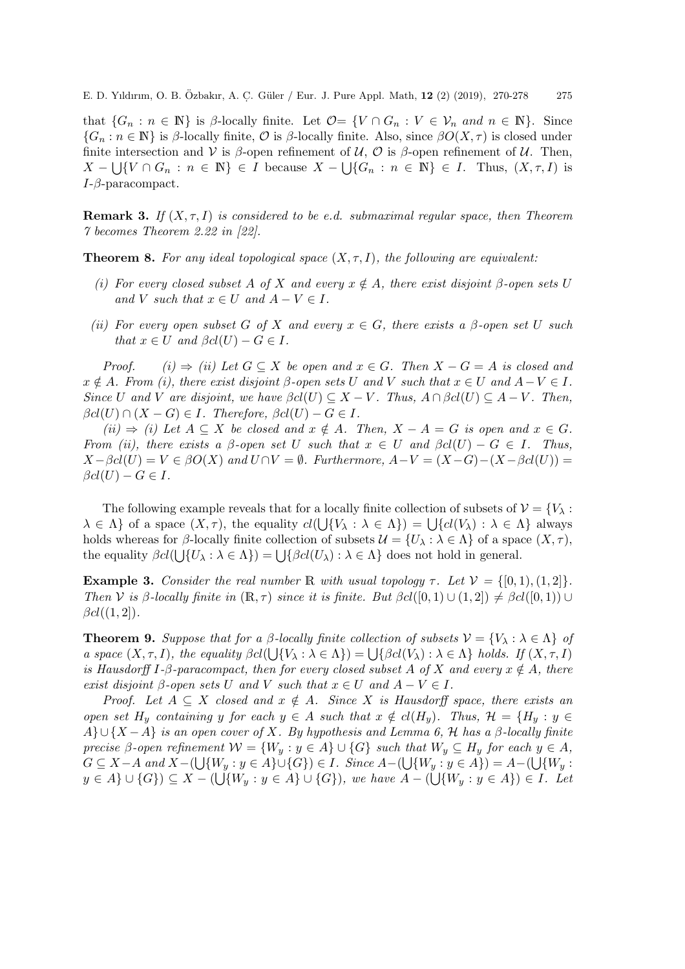E. D. Yıldırım, O. B. Özbakır, A. Ç. Güler / Eur. J. Pure Appl. Math, 12 (2) (2019), 270-278 275

that  $\{G_n : n \in \mathbb{N}\}\$ is β-locally finite. Let  $\mathcal{O} = \{V \cap G_n : V \in \mathcal{V}_n \text{ and } n \in \mathbb{N}\}\$ . Since  ${G_n : n \in \mathbb{N}}$  is β-locally finite,  $\mathcal O$  is β-locally finite. Also, since  $\beta O(X, \tau)$  is closed under finite intersection and V is  $\beta$ -open refinement of U, O is  $\beta$ -open refinement of U. Then,  $X - \bigcup \{V \cap G_n : n \in \mathbb{N}\}\in I$  because  $X - \bigcup \{G_n : n \in \mathbb{N}\}\in I$ . Thus,  $(X, \tau, I)$  is  $I-\beta$ -paracompact.

**Remark 3.** If  $(X, \tau, I)$  is considered to be e.d. submaximal regular space, then Theorem 7 becomes Theorem 2.22 in [22].

**Theorem 8.** For any ideal topological space  $(X, \tau, I)$ , the following are equivalent:

- (i) For every closed subset A of X and every  $x \notin A$ , there exist disjoint β-open sets U and V such that  $x \in U$  and  $A - V \in I$ .
- (ii) For every open subset G of X and every  $x \in G$ , there exists a  $\beta$ -open set U such that  $x \in U$  and  $\beta cl(U) - G \in I$ .

Proof. (i)  $\Rightarrow$  (ii) Let  $G \subseteq X$  be open and  $x \in G$ . Then  $X - G = A$  is closed and  $x \notin A$ . From (i), there exist disjoint  $\beta$ -open sets U and V such that  $x \in U$  and  $A-V \in I$ . Since U and V are disjoint, we have  $\beta cl(U) \subseteq X - V$ . Thus,  $A \cap \beta cl(U) \subseteq A - V$ . Then,  $\beta cl(U) \cap (X - G) \in I$ . Therefore,  $\beta cl(U) - G \in I$ .

 $(ii) \Rightarrow (i)$  Let  $A \subseteq X$  be closed and  $x \notin A$ . Then,  $X - A = G$  is open and  $x \in G$ . From (ii), there exists a  $\beta$ -open set U such that  $x \in U$  and  $\beta cl(U) - G \in I$ . Thus,  $X - \beta cl(U) = V \in \beta O(X)$  and  $U \cap V = \emptyset$ . Furthermore,  $A - V = (X - G) - (X - \beta cl(U)) =$  $\beta cl(U) - G \in I$ .

The following example reveals that for a locally finite collection of subsets of  $\mathcal{V} = \{V_{\lambda} :$  $\lambda \in \Lambda$  of a space  $(X, \tau)$ , the equality  $cl(\bigcup \{V_\lambda : \lambda \in \Lambda\}) = \bigcup \{cl(V_\lambda) : \lambda \in \Lambda\}$  always holds whereas for β-locally finite collection of subsets  $\mathcal{U} = \{U_\lambda : \lambda \in \Lambda\}$  of a space  $(X, \tau)$ , the equality  $\beta cl(\bigcup \{U_\lambda : \lambda \in \Lambda\}) = \bigcup \{\beta cl(U_\lambda) : \lambda \in \Lambda\}$  does not hold in general.

**Example 3.** Consider the real number R with usual topology  $\tau$ . Let  $V = \{ [0, 1), (1, 2] \}.$ Then V is β-locally finite in  $(\mathbb{R}, \tau)$  since it is finite. But  $\beta cl([0, 1) \cup (1, 2]) \neq \beta cl([0, 1)) \cup$  $\beta cl((1,2])$ .

**Theorem 9.** Suppose that for a β-locally finite collection of subsets  $\mathcal{V} = \{V_\lambda : \lambda \in \Lambda\}$  of a space  $(X, \tau, I)$ , the equality  $\beta cl(\bigcup \{V_\lambda : \lambda \in \Lambda\}) = \bigcup \{\beta cl(V_\lambda) : \lambda \in \Lambda\}$  holds. If  $(X, \tau, I)$ is Hausdorff I-β-paracompact, then for every closed subset A of X and every  $x \notin A$ , there exist disjoint  $\beta$ -open sets U and V such that  $x \in U$  and  $A - V \in I$ .

Proof. Let  $A \subseteq X$  closed and  $x \notin A$ . Since X is Hausdorff space, there exists an open set H<sub>y</sub> containing y for each  $y \in A$  such that  $x \notin cl(H_y)$ . Thus,  $\mathcal{H} = \{H_y : y \in A\}$  $A\}\cup\{X-A\}$  is an open cover of X. By hypothesis and Lemma 6, H has a  $\beta$ -locally finite precise β-open refinement  $W = \{W_y : y \in A\} \cup \{G\}$  such that  $W_y \subseteq H_y$  for each  $y \in A$ ,  $G \subseteq X-A$  and  $X- \left(\bigcup \{W_y : y \in A\} \cup \{G\}\right) \in I$ . Since  $A- \left(\bigcup \{W_y : y \in A\}\right) = A- \left(\bigcup \{W_y : y \in A\}\right)$  $y \in A \} \cup \{G\} \subseteq X - (\bigcup \{W_y : y \in A\} \cup \{G\}),\; we\; have\; A - (\bigcup \{W_y : y \in A\}) \in I.\; \; Let$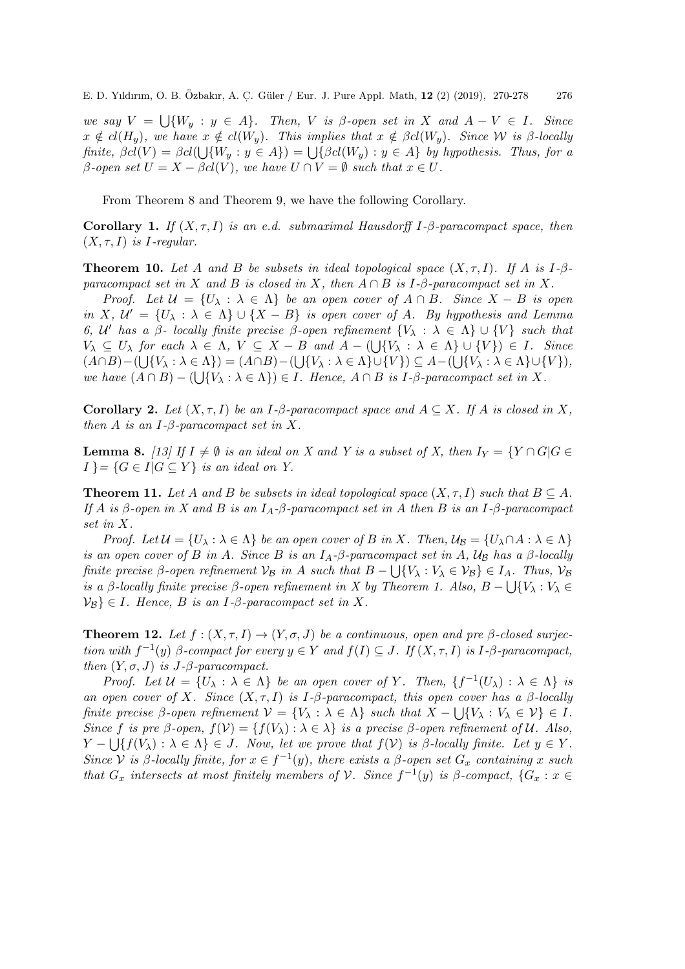we say  $V = \bigcup \{W_y : y \in A\}$ . Then, V is β-open set in X and  $A - V \in I$ . Since  $x \notin cl(H_u)$ , we have  $x \notin cl(W_u)$ . This implies that  $x \notin \beta cl(W_u)$ . Since W is  $\beta$ -locally finite,  $\beta cl(V) = \beta cl(\bigcup \{W_y : y \in A\}) = \bigcup \{\beta cl(W_y) : y \in A\}$  by hypothesis. Thus, for a β-open set  $U = X - \beta cl(V)$ , we have  $U ∩ V = ∅$  such that  $x ∈ U$ .

From Theorem 8 and Theorem 9, we have the following Corollary.

Corollary 1. If  $(X, \tau, I)$  is an e.d. submaximal Hausdorff I- $\beta$ -paracompact space, then  $(X, \tau, I)$  is *I*-regular.

**Theorem 10.** Let A and B be subsets in ideal topological space  $(X, \tau, I)$ . If A is I- $\beta$ paracompact set in X and B is closed in X, then  $A \cap B$  is I- $\beta$ -paracompact set in X.

Proof. Let  $\mathcal{U} = \{U_\lambda : \lambda \in \Lambda\}$  be an open cover of  $A \cap B$ . Since  $X - B$  is open in X,  $\mathcal{U}' = \{U_\lambda : \lambda \in \Lambda\} \cup \{X - B\}$  is open cover of A. By hypothesis and Lemma 6, U' has a  $\beta$ - locally finite precise  $\beta$ -open refinement  $\{V_\lambda : \lambda \in \Lambda\} \cup \{V\}$  such that  $V_{\lambda} \subseteq U_{\lambda}$  for each  $\lambda \in \Lambda$ ,  $V \subseteq X - B$  and  $A - (\bigcup \{V_{\lambda} : \lambda \in \Lambda\} \cup \{V\}) \in I$ . Since  $(A \cap B) - (\bigcup \{V_{\lambda} : \lambda \in \Lambda\}) = (A \cap B) - (\bigcup \{V_{\lambda} : \lambda \in \Lambda\} \cup \{V\}) \subseteq A - (\bigcup \{V_{\lambda} : \lambda \in \Lambda\} \cup \{V\}),$ we have  $(A \cap B) - (\bigcup \{V_\lambda : \lambda \in \Lambda\}) \in I$ . Hence,  $A \cap B$  is I- $\beta$ -paracompact set in X.

Corollary 2. Let  $(X, \tau, I)$  be an I- $\beta$ -paracompact space and  $A \subseteq X$ . If A is closed in X, then A is an I- $\beta$ -paracompact set in X.

**Lemma 8.** [13] If  $I \neq \emptyset$  is an ideal on X and Y is a subset of X, then  $I_Y = \{Y \cap G | G \in$  $I \} = \{ G \in I | G \subseteq Y \}$  is an ideal on Y.

**Theorem 11.** Let A and B be subsets in ideal topological space  $(X, \tau, I)$  such that  $B \subseteq A$ . If A is  $\beta$ -open in X and B is an  $I_A$ - $\beta$ -paracompact set in A then B is an I- $\beta$ -paracompact set in X.

Proof. Let  $\mathcal{U} = \{U_\lambda : \lambda \in \Lambda\}$  be an open cover of B in X. Then,  $\mathcal{U}_\beta = \{U_\lambda \cap A : \lambda \in \Lambda\}$ is an open cover of B in A. Since B is an  $I_A$ - $\beta$ -paracompact set in A,  $\mathcal{U}_B$  has a  $\beta$ -locally finite precise β-open refinement  $\mathcal{V}_{\mathcal{B}}$  in A such that  $B - \bigcup \{V_{\lambda} : V_{\lambda} \in \mathcal{V}_{\mathcal{B}}\} \in I_A$ . Thus,  $\mathcal{V}_{\mathcal{B}}$ is a β-locally finite precise β-open refinement in X by Theorem 1. Also,  $B - \bigcup \{V_\lambda : V_\lambda \in$  $\mathcal{V}_{\mathcal{B}}\}\in I$ . Hence, B is an I- $\beta$ -paracompact set in X.

**Theorem 12.** Let  $f : (X, \tau, I) \to (Y, \sigma, J)$  be a continuous, open and pre  $\beta$ -closed surjection with  $f^{-1}(y)$  β-compact for every  $y \in Y$  and  $f(I) \subseteq J$ . If  $(X, \tau, I)$  is I-β-paracompact, then  $(Y, \sigma, J)$  is J- $\beta$ -paracompact.

Proof. Let  $\mathcal{U} = \{U_\lambda : \lambda \in \Lambda\}$  be an open cover of Y. Then,  $\{f^{-1}(U_\lambda) : \lambda \in \Lambda\}$  is an open cover of X. Since  $(X, \tau, I)$  is I-β-paracompact, this open cover has a β-locally finite precise β-open refinement  $V = \{V_\lambda : \lambda \in \Lambda\}$  such that  $X - \bigcup \{V_\lambda : V_\lambda \in \mathcal{V}\} \in I$ . Since f is pre β-open,  $f(V) = \{f(V_\lambda) : \lambda \in \lambda\}$  is a precise β-open refinement of U. Also,  $Y - \bigcup \{f(V_\lambda) : \lambda \in \Lambda\} \in J$ . Now, let we prove that  $f(V)$  is  $\beta$ -locally finite. Let  $y \in Y$ . Since V is β-locally finite, for  $x \in f^{-1}(y)$ , there exists a β-open set  $G_x$  containing x such that  $G_x$  intersects at most finitely members of  $\mathcal V$ . Since  $f^{-1}(y)$  is  $\beta$ -compact,  $\{G_x : x \in$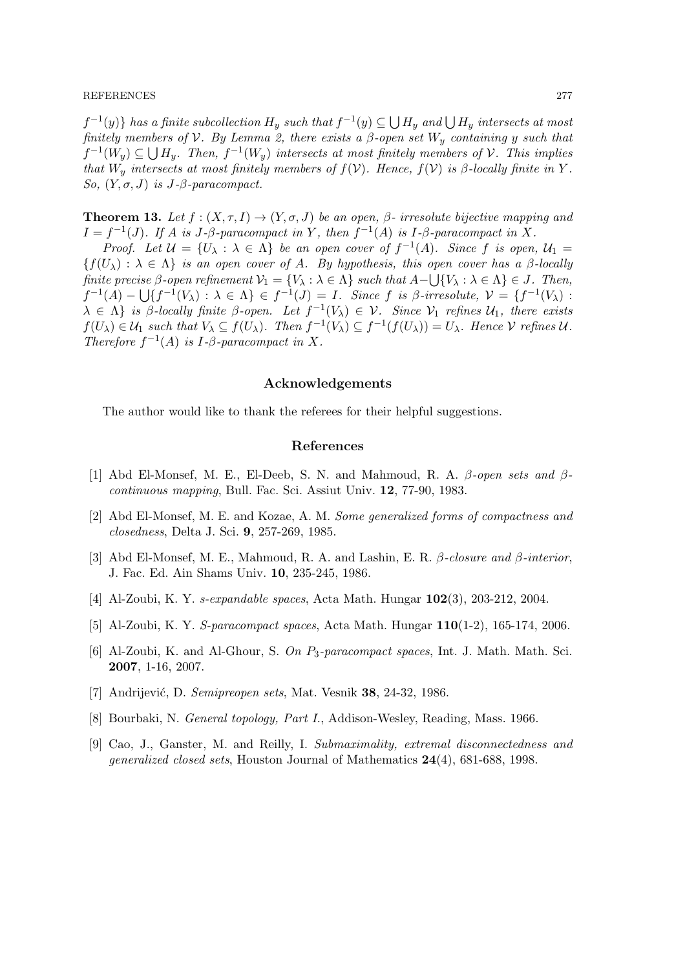#### REFERENCES 277

 $f^{-1}(y)$  has a finite subcollection  $H_y$  such that  $f^{-1}(y) \subseteq \bigcup H_y$  and  $\bigcup H_y$  intersects at most finitely members of V. By Lemma 2, there exists a  $\beta$ -open set  $W_y$  containing y such that  $f^{-1}(W_y) \subseteq \bigcup H_y$ . Then,  $f^{-1}(W_y)$  intersects at most finitely members of  $\mathcal V$ . This implies that  $W_y$  intersects at most finitely members of  $f(V)$ . Hence,  $f(V)$  is  $\beta$ -locally finite in Y. So,  $(Y, \sigma, J)$  is J- $\beta$ -paracompact.

**Theorem 13.** Let  $f : (X, \tau, I) \to (Y, \sigma, J)$  be an open,  $\beta$ - irresolute bijective mapping and  $I = f^{-1}(J)$ . If A is  $J$ - $\beta$ -paracompact in Y, then  $f^{-1}(A)$  is  $I$ - $\beta$ -paracompact in X.

Proof. Let  $\mathcal{U} = \{U_\lambda : \lambda \in \Lambda\}$  be an open cover of  $f^{-1}(A)$ . Since f is open,  $\mathcal{U}_1 =$  ${f(U_\lambda): \lambda \in \Lambda}$  is an open cover of A. By hypothesis, this open cover has a  $\beta$ -locally finite precise β-open refinement  $\mathcal{V}_1 = \{V_\lambda : \lambda \in \Lambda\}$  such that  $A - \bigcup \{V_\lambda : \lambda \in \Lambda\} \in J$ . Then,  $f^{-1}(A) - \bigcup \{f^{-1}(V_\lambda) : \lambda \in \Lambda\} \in f^{-1}(J) = I$ . Since f is  $\beta$ -irresolute,  $\mathcal{V} = \{f^{-1}(V_\lambda) : \lambda \in \Lambda\}$  $\lambda \in \Lambda$  is β-locally finite β-open. Let  $f^{-1}(V_{\lambda}) \in \mathcal{V}$ . Since  $\mathcal{V}_1$  refines  $\mathcal{U}_1$ , there exists  $f(U_\lambda) \in \mathcal{U}_1$  such that  $V_\lambda \subseteq f(U_\lambda)$ . Then  $f^{-1}(V_\lambda) \subseteq f^{-1}(f(U_\lambda)) = U_\lambda$ . Hence  $\mathcal V$  refines  $\mathcal U$ . Therefore  $f^{-1}(A)$  is  $I$ - $\beta$ -paracompact in X.

### Acknowledgements

The author would like to thank the referees for their helpful suggestions.

## References

- [1] Abd El-Monsef, M. E., El-Deeb, S. N. and Mahmoud, R. A.  $\beta$ -open sets and  $\beta$ continuous mapping, Bull. Fac. Sci. Assiut Univ. 12, 77-90, 1983.
- [2] Abd El-Monsef, M. E. and Kozae, A. M. Some generalized forms of compactness and closedness, Delta J. Sci. 9, 257-269, 1985.
- [3] Abd El-Monsef, M. E., Mahmoud, R. A. and Lashin, E. R.  $\beta$ -closure and  $\beta$ -interior, J. Fac. Ed. Ain Shams Univ. 10, 235-245, 1986.
- [4] Al-Zoubi, K. Y. s-expandable spaces, Acta Math. Hungar 102(3), 203-212, 2004.
- [5] Al-Zoubi, K. Y. S-paracompact spaces, Acta Math. Hungar 110(1-2), 165-174, 2006.
- [6] Al-Zoubi, K. and Al-Ghour, S. On P3-paracompact spaces, Int. J. Math. Math. Sci. 2007, 1-16, 2007.
- [7] Andrijević, D. Semipreopen sets, Mat. Vesnik 38, 24-32, 1986.
- [8] Bourbaki, N. General topology, Part I., Addison-Wesley, Reading, Mass. 1966.
- [9] Cao, J., Ganster, M. and Reilly, I. Submaximality, extremal disconnectedness and generalized closed sets, Houston Journal of Mathematics 24(4), 681-688, 1998.